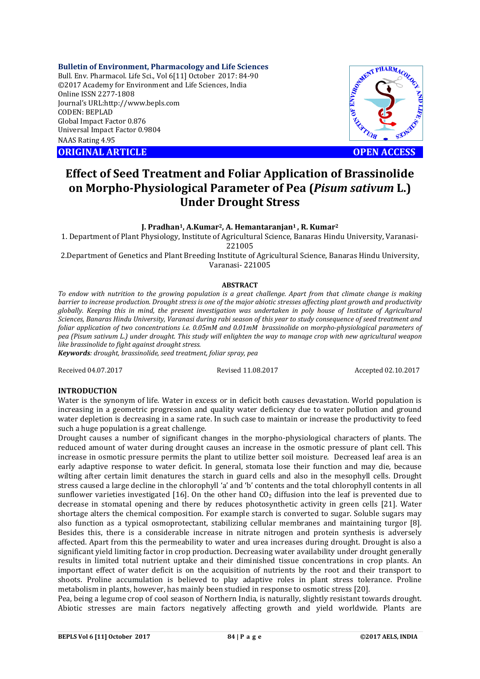**Bulletin of Environment, Pharmacology and Life Sciences**

Bull. Env. Pharmacol. Life Sci., Vol 6[11] October 2017: 84-90 ©2017 Academy for Environment and Life Sciences, India Online ISSN 2277-1808 Journal's URL:http://www.bepls.com CODEN: BEPLAD Global Impact Factor 0.876 Universal Impact Factor 0.9804 NAAS Rating 4.95 COLUIT ACCESS ORIGINAL ARTICLE<br>
ORIGINAL ARTICLE<br>
ORIGINAL ARTICLE<br>
ORIGINAL ARTICLE<br>
ORIGINAL ARTICLE<br>
ORIGINAL ARTICLE<br>
ORIGINAL ARTICLE<br>
OPEN ACCESS



# **Effect of Seed Treatment and Foliar Application of Brassinolide on Morpho-Physiological Parameter of Pea (***Pisum sativum* **L.) Under Drought Stress**

## **J. Pradhan1, A.Kumar2, A. Hemantaranjan1 , R. Kumar2**

1. Department of Plant Physiology, Institute of Agricultural Science, Banaras Hindu University, Varanasi-221005

2.Department of Genetics and Plant Breeding Institute of Agricultural Science, Banaras Hindu University, Varanasi- 221005

#### **ABSTRACT**

*To endow with nutrition to the growing population is a great challenge. Apart from that climate change is making barrier to increase production. Drought stress is one of the major abiotic stresses affecting plant growth and productivity globally. Keeping this in mind, the present investigation was undertaken in poly house of Institute of Agricultural Sciences, Banaras Hindu University, Varanasi during rabi season of this year to study consequence of seed treatment and foliar application of two concentrations i.e. 0.05mM and 0.01mM brassinolide on morpho-physiological parameters of pea (Pisum sativum L.) under drought. This study will enlighten the way to manage crop with new agricultural weapon like brassinolide to fight against drought stress.*

*Keywords: drought, brassinolide, seed treatment, foliar spray, pea*

Received 04.07.2017 Revised 11.08.2017 Accepted 02.10.2017

# **INTRODUCTION**

Water is the synonym of life. Water in excess or in deficit both causes devastation. World population is increasing in a geometric progression and quality water deficiency due to water pollution and ground water depletion is decreasing in a same rate. In such case to maintain or increase the productivity to feed such a huge population is a great challenge.

Drought causes a number of significant changes in the morpho-physiological characters of plants. The reduced amount of water during drought causes an increase in the osmotic pressure of plant cell. This increase in osmotic pressure permits the plant to utilize better soil moisture. Decreased leaf area is an early adaptive response to water deficit. In general, stomata lose their function and may die, because wilting after certain limit denatures the starch in guard cells and also in the mesophyll cells. Drought stress caused a large decline in the chlorophyll 'a' and 'b' contents and the total chlorophyll contents in all sunflower varieties investigated [16]. On the other hand  $CO<sub>2</sub>$  diffusion into the leaf is prevented due to decrease in stomatal opening and there by reduces photosynthetic activity in green cells [21]. Water shortage alters the chemical composition. For example starch is converted to sugar. Soluble sugars may also function as a typical osmoprotectant, stabilizing cellular membranes and maintaining turgor [8]. Besides this, there is a considerable increase in nitrate nitrogen and protein synthesis is adversely affected. Apart from this the permeability to water and urea increases during drought. Drought is also a significant yield limiting factor in crop production. Decreasing water availability under drought generally results in limited total nutrient uptake and their diminished tissue concentrations in crop plants. An important effect of water deficit is on the acquisition of nutrients by the root and their transport to shoots. Proline accumulation is believed to play adaptive roles in plant stress tolerance. Proline metabolism in plants, however, has mainly been studied in response to osmotic stress [20].

Pea, being a legume crop of cool season of Northern India, is naturally, slightly resistant towards drought. Abiotic stresses are main factors negatively affecting growth and yield worldwide. Plants are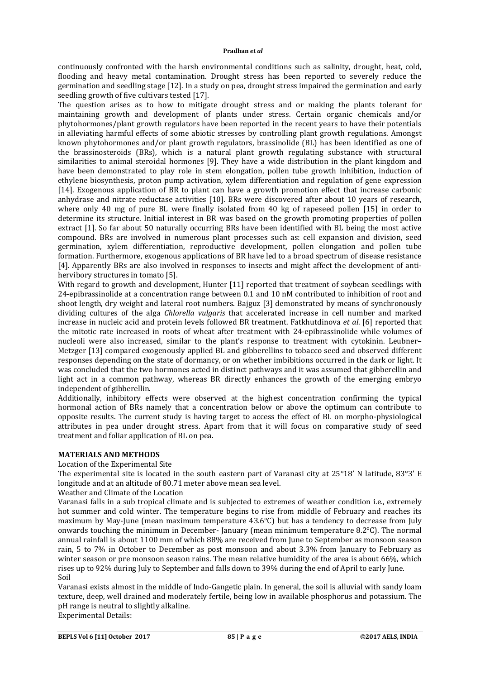continuously confronted with the harsh environmental conditions such as salinity, drought, heat, cold, flooding and heavy metal contamination. Drought stress has been reported to severely reduce the germination and seedling stage [12]. In a study on pea, drought stress impaired the germination and early seedling growth of five cultivars tested [17].

The question arises as to how to mitigate drought stress and or making the plants tolerant for maintaining growth and development of plants under stress. Certain organic chemicals and/or phytohormones/plant growth regulators have been reported in the recent years to have their potentials in alleviating harmful effects of some abiotic stresses by controlling plant growth regulations. Amongst known phytohormones and/or plant growth regulators, brassinolide (BL) has been identified as one of the brassinosteroids (BRs), which is a natural plant growth regulating substance with structural similarities to animal steroidal hormones [9]. They have a wide distribution in the plant kingdom and have been demonstrated to play role in stem elongation, pollen tube growth inhibition, induction of ethylene biosynthesis, proton pump activation, xylem differentiation and regulation of gene expression [14]. Exogenous application of BR to plant can have a growth promotion effect that increase carbonic anhydrase and nitrate reductase activities [10]. BRs were discovered after about 10 years of research, where only 40 mg of pure BL were finally isolated from 40 kg of rapeseed pollen [15] in order to determine its structure. Initial interest in BR was based on the growth promoting properties of pollen extract [1]. So far about 50 naturally occurring BRs have been identified with BL being the most active compound. BRs are involved in numerous plant processes such as: cell expansion and division, seed germination, xylem differentiation, reproductive development, pollen elongation and pollen tube formation. Furthermore, exogenous applications of BR have led to a broad spectrum of disease resistance [4]. Apparently BRs are also involved in responses to insects and might affect the development of antihervibory structures in tomato [5].

With regard to growth and development, Hunter [11] reported that treatment of soybean seedlings with 24-epibrassinolide at a concentration range between 0.1 and 10 nM contributed to inhibition of root and shoot length, dry weight and lateral root numbers. Bajguz [3] demonstrated by means of synchronously dividing cultures of the alga *Chlorella vulgaris* that accelerated increase in cell number and marked increase in nucleic acid and protein levels followed BR treatment. Fatkhutdinova *et al*. [6] reported that the mitotic rate increased in roots of wheat after treatment with 24-epibrassinolide while volumes of nucleoli were also increased, similar to the plant's response to treatment with cytokinin. Leubner– Metzger [13] compared exogenously applied BL and gibberellins to tobacco seed and observed different responses depending on the state of dormancy, or on whether imbibitions occurred in the dark or light. It was concluded that the two hormones acted in distinct pathways and it was assumed that gibberellin and light act in a common pathway, whereas BR directly enhances the growth of the emerging embryo independent of gibberellin.

Additionally, inhibitory effects were observed at the highest concentration confirming the typical hormonal action of BRs namely that a concentration below or above the optimum can contribute to opposite results. The current study is having target to access the effect of BL on morpho-physiological attributes in pea under drought stress. Apart from that it will focus on comparative study of seed treatment and foliar application of BL on pea.

# **MATERIALS AND METHODS**

# Location of the Experimental Site

The experimental site is located in the south eastern part of Varanasi city at 25°18' N latitude, 83°3' E longitude and at an altitude of 80.71 meter above mean sea level.

## Weather and Climate of the Location

Varanasi falls in a sub tropical climate and is subjected to extremes of weather condition i.e., extremely hot summer and cold winter. The temperature begins to rise from middle of February and reaches its maximum by May-June (mean maximum temperature 43.6°C) but has a tendency to decrease from July onwards touching the minimum in December- January (mean minimum temperature 8.2°C). The normal annual rainfall is about 1100 mm of which 88% are received from June to September as monsoon season rain, 5 to 7% in October to December as post monsoon and about 3.3% from January to February as winter season or pre monsoon season rains. The mean relative humidity of the area is about 66%, which rises up to 92% during July to September and falls down to 39% during the end of April to early June. Soil

Varanasi exists almost in the middle of Indo-Gangetic plain. In general, the soil is alluvial with sandy loam texture, deep, well drained and moderately fertile, being low in available phosphorus and potassium. The pH range is neutral to slightly alkaline. Experimental Details: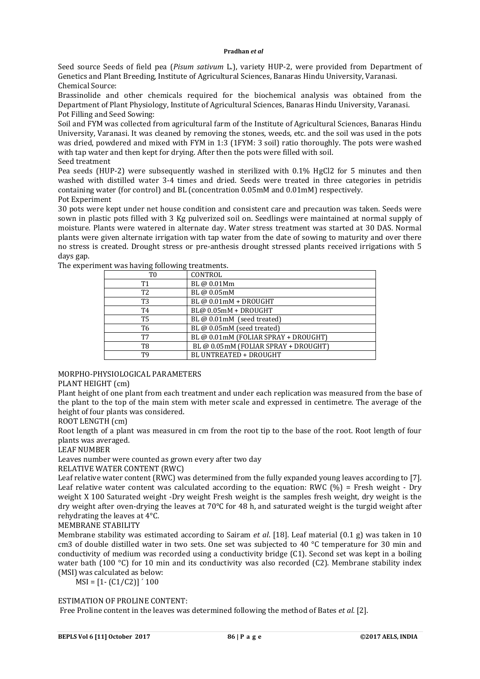Seed source Seeds of field pea (*Pisum sativum* L.), variety HUP-2, were provided from Department of Genetics and Plant Breeding, Institute of Agricultural Sciences, Banaras Hindu University, Varanasi. Chemical Source:

Brassinolide and other chemicals required for the biochemical analysis was obtained from the Department of Plant Physiology, Institute of Agricultural Sciences, Banaras Hindu University, Varanasi. Pot Filling and Seed Sowing:

Soil and FYM was collected from agricultural farm of the Institute of Agricultural Sciences, Banaras Hindu University, Varanasi. It was cleaned by removing the stones, weeds, etc. and the soil was used in the pots was dried, powdered and mixed with FYM in 1:3 (1FYM: 3 soil) ratio thoroughly. The pots were washed with tap water and then kept for drying. After then the pots were filled with soil. Seed treatment

Pea seeds (HUP-2) were subsequently washed in sterilized with 0.1% HgCl2 for 5 minutes and then washed with distilled water 3-4 times and dried. Seeds were treated in three categories in petridis containing water (for control) and BL (concentration 0.05mM and 0.01mM) respectively. Pot Experiment

30 pots were kept under net house condition and consistent care and precaution was taken. Seeds were sown in plastic pots filled with 3 Kg pulverized soil on. Seedlings were maintained at normal supply of moisture. Plants were watered in alternate day. Water stress treatment was started at 30 DAS. Normal plants were given alternate irrigation with tap water from the date of sowing to maturity and over there no stress is created. Drought stress or pre-anthesis drought stressed plants received irrigations with 5 days gap.

| ັ<br>T <sub>0</sub> | CONTROL                              |
|---------------------|--------------------------------------|
| T1                  | BL @ 0.01Mm                          |
| T <sub>2</sub>      | BL @ 0.05mM                          |
| T <sub>3</sub>      | BL @ 0.01mM + DROUGHT                |
| T4                  | BL@ 0.05mM + DROUGHT                 |
| T <sub>5</sub>      | BL @ 0.01mM (seed treated)           |
| T6                  | BL @ 0.05mM (seed treated)           |
| T7                  | BL @ 0.01mM (FOLIAR SPRAY + DROUGHT) |
| T8                  | BL @ 0.05mM (FOLIAR SPRAY + DROUGHT) |
| T9                  | BL UNTREATED + DROUGHT               |

The experiment was having following treatments.

## MORPHO-PHYSIOLOGICAL PARAMETERS

# PLANT HEIGHT (cm)

Plant height of one plant from each treatment and under each replication was measured from the base of the plant to the top of the main stem with meter scale and expressed in centimetre. The average of the height of four plants was considered.

ROOT LENGTH (cm)

Root length of a plant was measured in cm from the root tip to the base of the root. Root length of four plants was averaged.

LEAF NUMBER

Leaves number were counted as grown every after two day

RELATIVE WATER CONTENT (RWC)

Leaf relative water content (RWC) was determined from the fully expanded young leaves according to [7]. Leaf relative water content was calculated according to the equation: RWC  $(\%)$  = Fresh weight - Dry weight X 100 Saturated weight -Dry weight Fresh weight is the samples fresh weight, dry weight is the dry weight after oven-drying the leaves at 70°C for 48 h, and saturated weight is the turgid weight after rehydrating the leaves at 4°C.

MEMBRANE STABILITY

Membrane stability was estimated according to Sairam *et al*. [18]. Leaf material (0.1 g) was taken in 10 cm3 of double distilled water in two sets. One set was subjected to 40  $\degree$ C temperature for 30 min and conductivity of medium was recorded using a conductivity bridge (C1). Second set was kept in a boiling water bath (100 °C) for 10 min and its conductivity was also recorded (C2). Membrane stability index (MSI) was calculated as below:

 $MSI = [1 - (C1/C2)]' 100$ 

# ESTIMATION OF PROLINE CONTENT:

Free Proline content in the leaves was determined following the method of Bates *et al.* [2].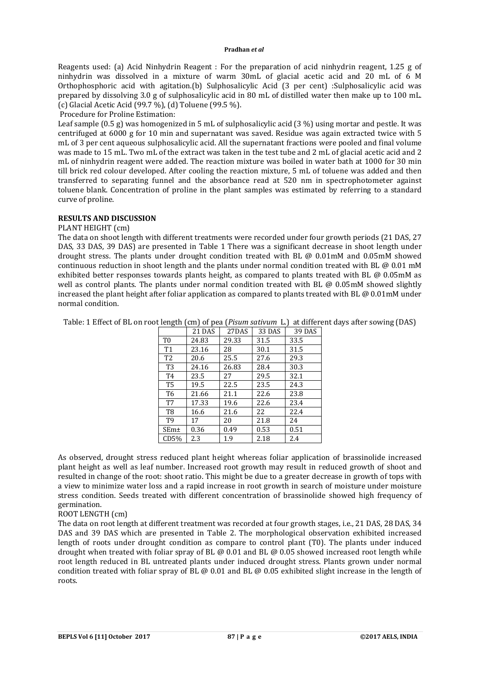Reagents used: (a) Acid Ninhydrin Reagent : For the preparation of acid ninhydrin reagent, 1.25 g of ninhydrin was dissolved in a mixture of warm 30mL of glacial acetic acid and 20 mL of 6 M Orthophosphoric acid with agitation.(b) Sulphosalicylic Acid (3 per cent) :Sulphosalicylic acid was prepared by dissolving 3.0 g of sulphosalicylic acid in 80 mL of distilled water then make up to 100 mL. (c) Glacial Acetic Acid (99.7 %), (d) Toluene (99.5 %).

Procedure for Proline Estimation:

Leaf sample (0.5 g) was homogenized in 5 mL of sulphosalicylic acid (3 %) using mortar and pestle. It was centrifuged at 6000 g for 10 min and supernatant was saved. Residue was again extracted twice with 5 mL of 3 per cent aqueous sulphosalicylic acid. All the supernatant fractions were pooled and final volume was made to 15 mL. Two mL of the extract was taken in the test tube and 2 mL of glacial acetic acid and 2 mL of ninhydrin reagent were added. The reaction mixture was boiled in water bath at 1000 for 30 min till brick red colour developed. After cooling the reaction mixture, 5 mL of toluene was added and then transferred to separating funnel and the absorbance read at 520 nm in spectrophotometer against toluene blank. Concentration of proline in the plant samples was estimated by referring to a standard curve of proline.

# **RESULTS AND DISCUSSION**

## PLANT HEIGHT (cm)

The data on shoot length with different treatments were recorded under four growth periods (21 DAS, 27 DAS, 33 DAS, 39 DAS) are presented in Table 1 There was a significant decrease in shoot length under drought stress. The plants under drought condition treated with BL @ 0.01mM and 0.05mM showed continuous reduction in shoot length and the plants under normal condition treated with BL @ 0.01 mM exhibited better responses towards plants height, as compared to plants treated with BL @ 0.05mM as well as control plants. The plants under normal condition treated with BL @ 0.05mM showed slightly increased the plant height after foliar application as compared to plants treated with BL @ 0.01mM under normal condition.

Table: 1 Effect of BL on root length (cm) of pea (*Pisum sativum* L*.*) at different days after sowing (DAS)

|                  | 21 DAS | 27DAS | 33 DAS | 39 DAS |
|------------------|--------|-------|--------|--------|
| T0               | 24.83  | 29.33 | 31.5   | 33.5   |
| T <sub>1</sub>   | 23.16  | 28    | 30.1   | 31.5   |
| T2               | 20.6   | 25.5  | 27.6   | 29.3   |
| T <sub>3</sub>   | 24.16  | 26.83 | 28.4   | 30.3   |
| T4               | 23.5   | 27    | 29.5   | 32.1   |
| <b>T5</b>        | 19.5   | 22.5  | 23.5   | 24.3   |
| T <sub>6</sub>   | 21.66  | 21.1  | 22.6   | 23.8   |
| T7               | 17.33  | 19.6  | 22.6   | 23.4   |
| T8               | 16.6   | 21.6  | 22     | 22.4   |
| T <sub>9</sub>   | 17     | 20    | 21.8   | 24     |
| SEm <sub>±</sub> | 0.36   | 0.49  | 0.53   | 0.51   |
| CD5%             | 2.3    | 1.9   | 2.18   | 2.4    |

As observed, drought stress reduced plant height whereas foliar application of brassinolide increased plant height as well as leaf number. Increased root growth may result in reduced growth of shoot and resulted in change of the root: shoot ratio. This might be due to a greater decrease in growth of tops with a view to minimize water loss and a rapid increase in root growth in search of moisture under moisture stress condition. Seeds treated with different concentration of brassinolide showed high frequency of germination.

## ROOT LENGTH (cm)

The data on root length at different treatment was recorded at four growth stages, i.e., 21 DAS, 28 DAS, 34 DAS and 39 DAS which are presented in Table 2. The morphological observation exhibited increased length of roots under drought condition as compare to control plant (T0). The plants under induced drought when treated with foliar spray of BL  $\omega$  0.01 and BL  $\omega$  0.05 showed increased root length while root length reduced in BL untreated plants under induced drought stress. Plants grown under normal condition treated with foliar spray of BL  $\omega$  0.01 and BL  $\omega$  0.05 exhibited slight increase in the length of roots.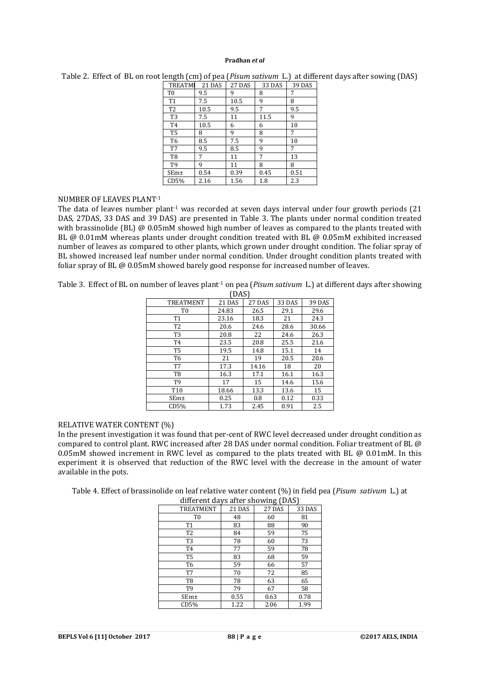| <b>TREATMI</b> | 21 DAS | 27 DAS | 33 DAS | <b>39 DAS</b> |
|----------------|--------|--------|--------|---------------|
| T <sub>0</sub> | 9.5    | 9      | 8      | 7             |
| T <sub>1</sub> | 7.5    | 10.5   | 9      | 8             |
| T <sub>2</sub> | 10.5   | 9.5    | 7      | 9.5           |
| T <sub>3</sub> | 7.5    | 11     | 11.5   | 9             |
| T <sub>4</sub> | 10.5   | 6      | 6      | 10            |
| T <sub>5</sub> | 8      | 9      | 8      | 7             |
| T6             | 8.5    | 7.5    | 9      | 10            |
| T7             | 9.5    | 8.5    | 9      | 7             |
| T <sub>8</sub> | 7      | 11     | 7      | 13            |
| T <sub>9</sub> | 9      | 11     | 8      | 8             |
| SEm±           | 0.54   | 0.39   | 0.45   | 0.51          |
| CD5%           | 2.16   | 1.56   | 1.8    | 2.3           |

Table 2. Effect of BL on root length (cm) of pea (*Pisum sativum* L*.*) at different days after sowing (DAS)

# NUMBER OF LEAVES PLANT-1

The data of leaves number plant<sup>1</sup> was recorded at seven days interval under four growth periods (21 DAS, 27DAS, 33 DAS and 39 DAS) are presented in Table 3. The plants under normal condition treated with brassinolide (BL) @ 0.05mM showed high number of leaves as compared to the plants treated with BL @ 0.01mM whereas plants under drought condition treated with BL @ 0.05mM exhibited increased number of leaves as compared to other plants, which grown under drought condition. The foliar spray of BL showed increased leaf number under normal condition. Under drought condition plants treated with foliar spray of BL @ 0.05mM showed barely good response for increased number of leaves.

Table 3. Effect of BL on number of leaves plant<sup>-1</sup> on pea (*Pisum sativum L.*) at different days after showing  $(0.8)$ 

| ן טמען           |        |               |        |               |
|------------------|--------|---------------|--------|---------------|
| <b>TREATMENT</b> | 21 DAS | <b>27 DAS</b> | 33 DAS | <b>39 DAS</b> |
| T <sub>0</sub>   | 24.83  | 26.5          | 29.1   | 29.6          |
| T <sub>1</sub>   | 23.16  | 18.3          | 21     | 24.3          |
| T <sub>2</sub>   | 20.6   | 24.6          | 28.6   | 30.66         |
| T <sub>3</sub>   | 20.8   | 22            | 24.6   | 26.3          |
| T <sub>4</sub>   | 23.5   | 20.8          | 25.5   | 21.6          |
| T <sub>5</sub>   | 19.5   | 14.8          | 15.1   | 14            |
| T <sub>6</sub>   | 21     | 19            | 20.5   | 20.6          |
| T7               | 17.3   | 14.16         | 18     | 20            |
| T8               | 16.3   | 17.1          | 16.1   | 16.3          |
| T9               | 17     | 15            | 14.6   | 15.6          |
| T <sub>10</sub>  | 18.66  | 13.3          | 13.6   | 15            |
| SEm <sub>±</sub> | 0.25   | 0.8           | 0.12   | 0.33          |
| CD5%             | 1.73   | 2.45          | 0.91   | 2.5           |

## RELATIVE WATER CONTENT (%)

In the present investigation it was found that per-cent of RWC level decreased under drought condition as compared to control plant. RWC increased after 28 DAS under normal condition. Foliar treatment of BL @ 0.05mM showed increment in RWC level as compared to the plats treated with BL @ 0.01mM. In this experiment it is observed that reduction of the RWC level with the decrease in the amount of water available in the pots.

Table 4. Effect of brassinolide on leaf relative water content (%) in field pea (*Pisum sativum* L.) at

| different days after showing (DAS) |        |        |        |
|------------------------------------|--------|--------|--------|
| TREATMENT                          | 21 DAS | 27 DAS | 33 DAS |
| T <sub>0</sub>                     | 48     | 60     | 81     |
| <b>T1</b>                          | 83     | 88     | 90     |
| T <sub>2</sub>                     | 84     | 59     | 75     |
| T <sub>3</sub>                     | 78     | 60     | 73     |
| T <sub>4</sub>                     | 77     | 59     | 78     |
| T5                                 | 83     | 68     | 59     |
| T6                                 | 59     | 66     | 57     |
| T7                                 | 70     | 72     | 85     |
| T8                                 | 78     | 63     | 65     |
| <b>T9</b>                          | 79     | 67     | 58     |
| SEm±                               | 0.55   | 0.63   | 0.78   |
| CD5%                               | 1.22   | 2.06   | 1.99   |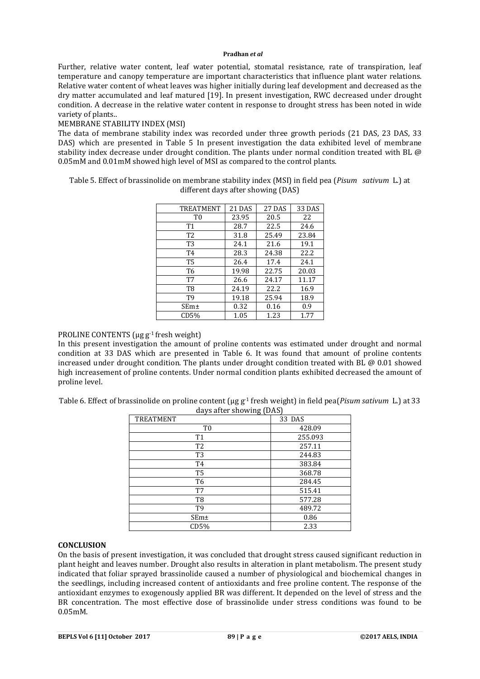Further, relative water content, leaf water potential, stomatal resistance, rate of transpiration, leaf temperature and canopy temperature are important characteristics that influence plant water relations. Relative water content of wheat leaves was higher initially during leaf development and decreased as the dry matter accumulated and leaf matured [19]. In present investigation, RWC decreased under drought condition. A decrease in the relative water content in response to drought stress has been noted in wide variety of plants..

# MEMBRANE STABILITY INDEX (MSI)

The data of membrane stability index was recorded under three growth periods (21 DAS, 23 DAS, 33 DAS) which are presented in Table 5 In present investigation the data exhibited level of membrane stability index decrease under drought condition. The plants under normal condition treated with BL @ 0.05mM and 0.01mM showed high level of MSI as compared to the control plants.

Table 5. Effect of brassinolide on membrane stability index (MSI) in field pea (*Pisum sativum* L.) at different days after showing (DAS)

| <b>TREATMENT</b> | 21 DAS | 27 DAS | 33 DAS |
|------------------|--------|--------|--------|
| T <sub>0</sub>   | 23.95  | 20.5   | 22     |
| T <sub>1</sub>   | 28.7   | 22.5   | 24.6   |
| T <sub>2</sub>   | 31.8   | 25.49  | 23.84  |
| T <sub>3</sub>   | 24.1   | 21.6   | 19.1   |
| T4               | 28.3   | 24.38  | 22.2.  |
| T5               | 26.4   | 17.4   | 24.1   |
| T <sub>6</sub>   | 19.98  | 22.75  | 20.03  |
| T7               | 26.6   | 24.17  | 11.17  |
| T <sub>8</sub>   | 24.19  | 22.2   | 16.9   |
| Т9               | 19.18  | 25.94  | 18.9   |
| SEm <sub>±</sub> | 0.32   | 0.16   | 0.9    |
| CD5%             | 1.05   | 1.23   | 1.77   |

PROLINE CONTENTS (μg g-1 fresh weight)

In this present investigation the amount of proline contents was estimated under drought and normal condition at 33 DAS which are presented in Table 6. It was found that amount of proline contents increased under drought condition. The plants under drought condition treated with BL  $@0.01$  showed high increasement of proline contents. Under normal condition plants exhibited decreased the amount of proline level.

Table 6. Effect of brassinolide on proline content ( $\mu$ g g<sup>-1</sup> fresh weight) in field pea(*Pisum sativum* L.) at 33 days after showing (DAS)

| <b>TREATMENT</b> | 33 DAS  |
|------------------|---------|
| T <sub>0</sub>   | 428.09  |
| T <sub>1</sub>   | 255.093 |
| T <sub>2</sub>   | 257.11  |
| T <sub>3</sub>   | 244.83  |
| T <sub>4</sub>   | 383.84  |
| T <sub>5</sub>   | 368.78  |
| T <sub>6</sub>   | 284.45  |
| T7               | 515.41  |
| T8               | 577.28  |
| T <sub>9</sub>   | 489.72  |
| SEm±             | 0.86    |
| CD5%             | 2.33    |

## **CONCLUSION**

On the basis of present investigation, it was concluded that drought stress caused significant reduction in plant height and leaves number. Drought also results in alteration in plant metabolism. The present study indicated that foliar sprayed brassinolide caused a number of physiological and biochemical changes in the seedlings, including increased content of antioxidants and free proline content. The response of the antioxidant enzymes to exogenously applied BR was different. It depended on the level of stress and the BR concentration. The most effective dose of brassinolide under stress conditions was found to be 0.05mM.